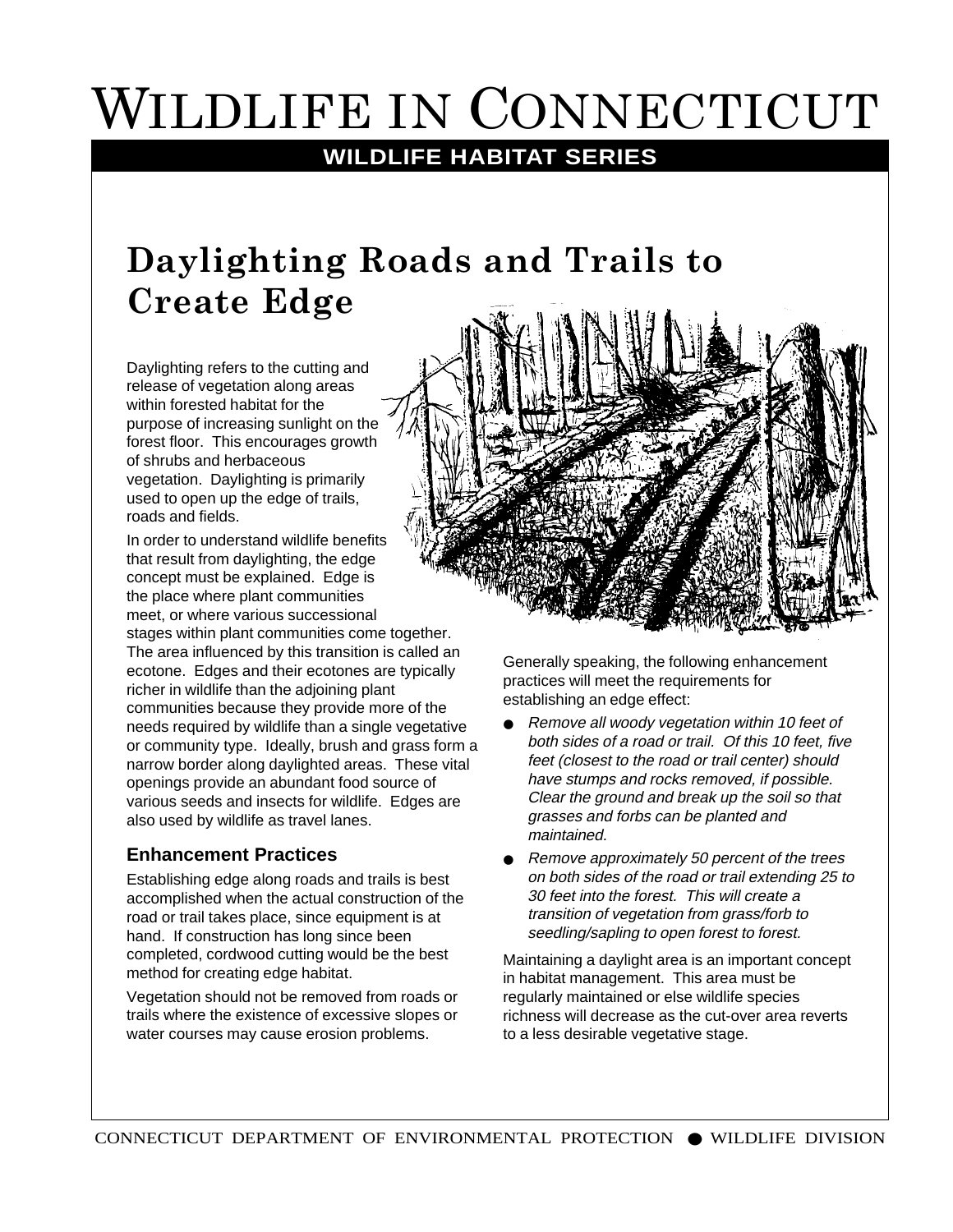# WILDLIFE IN CONNECTICUT

### **WILDLIFE HABITAT SERIES**

## **Daylighting Roads and Trails to Create Edge**

Daylighting refers to the cutting and release of vegetation along areas within forested habitat for the purpose of increasing sunlight on the forest floor. This encourages growth of shrubs and herbaceous vegetation. Daylighting is primarily used to open up the edge of trails, roads and fields.

In order to understand wildlife benefits that result from daylighting, the edge concept must be explained. Edge is the place where plant communities meet, or where various successional stages within plant communities come together. The area influenced by this transition is called an ecotone. Edges and their ecotones are typically richer in wildlife than the adjoining plant communities because they provide more of the needs required by wildlife than a single vegetative or community type. Ideally, brush and grass form a narrow border along daylighted areas. These vital openings provide an abundant food source of various seeds and insects for wildlife. Edges are also used by wildlife as travel lanes.

#### **Enhancement Practices**

Establishing edge along roads and trails is best accomplished when the actual construction of the road or trail takes place, since equipment is at hand. If construction has long since been completed, cordwood cutting would be the best method for creating edge habitat.

Vegetation should not be removed from roads or trails where the existence of excessive slopes or water courses may cause erosion problems.

Generally speaking, the following enhancement practices will meet the requirements for establishing an edge effect:

- Remove all woody vegetation within 10 feet of both sides of a road or trail. Of this 10 feet, five feet (closest to the road or trail center) should have stumps and rocks removed, if possible. Clear the ground and break up the soil so that grasses and forbs can be planted and maintained.
- Remove approximately 50 percent of the trees on both sides of the road or trail extending 25 to 30 feet into the forest. This will create a transition of vegetation from grass/forb to seedling/sapling to open forest to forest.

Maintaining a daylight area is an important concept in habitat management. This area must be regularly maintained or else wildlife species richness will decrease as the cut-over area reverts to a less desirable vegetative stage.